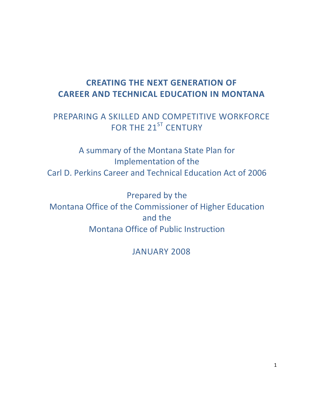# **CREATING THE NEXT GENERATION OF CAREER AND TECHNICAL EDUCATION IN MONTANA**

# PREPARING A SKILLED AND COMPETITIVE WORKFORCE FOR THE 21<sup>ST</sup> CENTURY

A summary of the Montana State Plan for Implementation of the Carl D. Perkins Career and Technical Education Act of 2006

Prepared by the Montana Office of the Commissioner of Higher Education and the Montana Office of Public Instruction

JANUARY 2008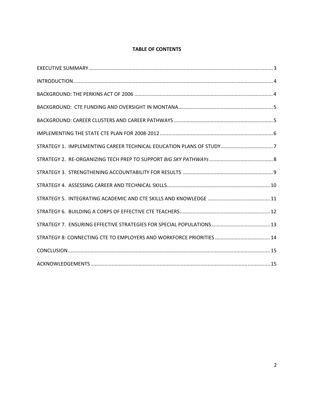# **TABLE OF CONTENTS**

| STRATEGY 1. IMPLEMENTING CAREER TECHNICAL EDUCATION PLANS OF STUDY7 |  |
|---------------------------------------------------------------------|--|
|                                                                     |  |
|                                                                     |  |
|                                                                     |  |
|                                                                     |  |
|                                                                     |  |
|                                                                     |  |
|                                                                     |  |
|                                                                     |  |
|                                                                     |  |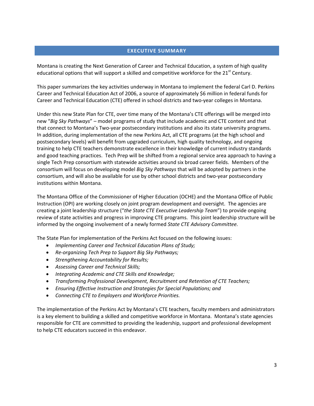## **EXECUTIVE SUMMARY**

Montana is creating the Next Generation of Career and Technical Education, a system of high quality educational options that will support a skilled and competitive workforce for the 21<sup>st</sup> Century.

This paper summarizes the key activities underway in Montana to implement the federal Carl D. Perkins Career and Technical Education Act of 2006, a source of approximately \$6 million in federal funds for Career and Technical Education (CTE) offered in school districts and two‐year colleges in Montana.

Under this new State Plan for CTE, over time many of the Montana's CTE offerings will be merged into new "*Big Sky Pathways*" – model programs of study that include academic and CTE content and that that connect to Montana's Two‐year postsecondary institutions and also its state university programs. In addition, during implementation of the new Perkins Act, all CTE programs (at the high school and postsecondary levels) will benefit from upgraded curriculum, high quality technology, and ongoing training to help CTE teachers demonstrate excellence in their knowledge of current industry standards and good teaching practices. Tech Prep will be shifted from a regional service area approach to having a single Tech Prep consortium with statewide activities around six broad career fields. Members of the consortium will focus on developing model *Big Sky Pathways* that will be adopted by partners in the consortium, and will also be available for use by other school districts and two‐year postsecondary institutions within Montana.

The Montana Office of the Commissioner of Higher Education (OCHE) and the Montana Office of Public Instruction (OPI) are working closely on joint program development and oversight. The agencies are creating a joint leadership structure ("*the State CTE Executive Leadership Team*") to provide ongoing review of state activities and progress in improving CTE programs. This joint leadership structure will be informed by the ongoing involvement of a newly formed *State CTE Advisory Committee.* 

The State Plan for implementation of the Perkins Act focused on the following issues:

- *Implementing Career and Technical Education Plans of Study;*
- *Re‐organizing Tech Prep to Support Big Sky Pathways;*
- *Strengthening Accountability for Results;*
- *Assessing Career and Technical Skills;*
- *Integrating Academic and CTE Skills and Knowledge;*
- *Transforming Professional Development, Recruitment and Retention of CTE Teachers;*
- *Ensuring Effective Instruction and Strategies for Special Populations; and*
- *Connecting CTE to Employers and Workforce Priorities.*

The implementation of the Perkins Act by Montana's CTE teachers, faculty members and administrators is a key element to building a skilled and competitive workforce in Montana. Montana's state agencies responsible for CTE are committed to providing the leadership, support and professional development to help CTE educators succeed in this endeavor.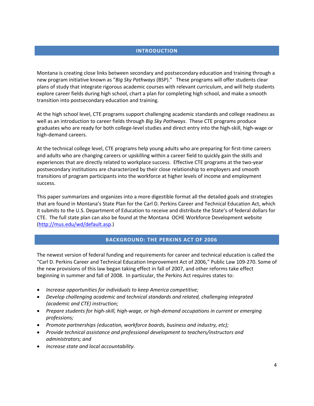## **INTRODUCTION**

Montana is creating close links between secondary and postsecondary education and training through a new program initiative known as "*Big Sky Pathways* (BSP)." These programs will offer students clear plans of study that integrate rigorous academic courses with relevant curriculum, and will help students explore career fields during high school, chart a plan for completing high school, and make a smooth transition into postsecondary education and training.

At the high school level, CTE programs support challenging academic standards and college readiness as well as an introduction to career fields through *Big Sky Pathways*. These CTE programs produce graduates who are ready for both college‐level studies and direct entry into the high‐skill, high‐wage or high‐demand careers.

At the technical college level, CTE programs help young adults who are preparing for first-time careers and adults who are changing careers or upskilling within a career field to quickly gain the skills and experiences that are directly related to workplace success. Effective CTE programs at the two‐year postsecondary institutions are characterized by their close relationship to employers and smooth transitions of program participants into the workforce at higher levels of income and employment success.

This paper summarizes and organizes into a more digestible format all the detailed goals and strategies that are found in Montana's State Plan for the Carl D. Perkins Career and Technical Education Act, which it submits to the U.S. Department of Education to receive and distribute the State's of federal dollars for CTE. The full state plan can also be found at the Montana OCHE Workforce Development website (http://mus.edu/wd/default.asp.)

## **BACKGROUND: THE PERKINS ACT OF 2006**

The newest version of federal funding and requirements for career and technical education is called the "Carl D. Perkins Career and Technical Education Improvement Act of 2006," Public Law 109‐270. Some of the new provisions of this law began taking effect in fall of 2007, and other reforms take effect beginning in summer and fall of 2008. In particular, the Perkins Act requires states to:

- *Increase opportunities for individuals to keep America competitive;*
- *Develop challenging academic and technical standards and related, challenging integrated (academic and CTE) instruction;*
- *Prepare students for high‐skill, high‐wage, or high‐demand occupations in current or emerging professions;*
- *Promote partnerships (education, workforce boards, business and industry, etc);*
- *Provide technical assistance and professional development to teachers/instructors and administrators; and*
- *Increase state and local accountability.*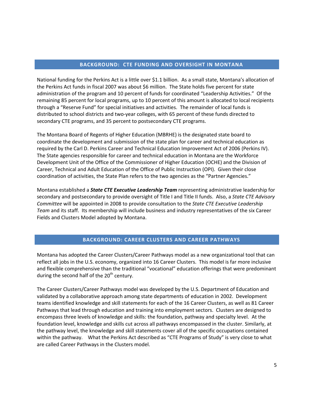## **BACKGROUND: CTE FUNDING AND OVERSIGHT IN MONTANA**

National funding for the Perkins Act is a little over \$1.1 billion. As a small state, Montana's allocation of the Perkins Act funds in fiscal 2007 was about \$6 million. The State holds five percent for state administration of the program and 10 percent of funds for coordinated "Leadership Activities." Of the remaining 85 percent for local programs, up to 10 percent of this amount is allocated to local recipients through a "Reserve Fund" for special initiatives and activities. The remainder of local funds is distributed to school districts and two‐year colleges, with 65 percent of these funds directed to secondary CTE programs, and 35 percent to postsecondary CTE programs.

The Montana Board of Regents of Higher Education (MBRHE) is the designated state board to coordinate the development and submission of the state plan for career and technical education as required by the Carl D. Perkins Career and Technical Education Improvement Act of 2006 (Perkins IV). The State agencies responsible for career and technical education in Montana are the Workforce Development Unit of the Office of the Commissioner of Higher Education (OCHE) and the Division of Career, Technical and Adult Education of the Office of Public Instruction (OPI). Given their close coordination of activities, the State Plan refers to the two agencies as the "Partner Agencies."

Montana established a *State CTE Executive Leadership Team* representing administrative leadership for secondary and postsecondary to provide oversight of Title I and Title II funds. Also, a *State CTE Advisory Committee* will be appointed in 2008 to provide consultation to the *State CTE Executive Leadership Team* and its staff. Its membership will include business and industry representatives of the six Career Fields and Clusters Model adopted by Montana.

# **BACKGROUND: CAREER CLUSTERS AND CAREER PATHWAYS**

Montana has adopted the Career Clusters/Career Pathways model as a new organizational tool that can reflect all jobs in the U.S. economy, organized into 16 Career Clusters. This model is far more inclusive and flexible comprehensive than the traditional "vocational" education offerings that were predominant during the second half of the 20<sup>th</sup> century.

The Career Clusters/Career Pathways model was developed by the U.S. Department of Education and validated by a collaborative approach among state departments of education in 2002. Development teams identified knowledge and skill statements for each of the 16 Career Clusters, as well as 81 Career Pathways that lead through education and training into employment sectors. Clusters are designed to encompass three levels of knowledge and skills: the foundation, pathway and specialty level. At the foundation level, knowledge and skills cut across all pathways encompassed in the cluster. Similarly, at the pathway level, the knowledge and skill statements cover all of the specific occupations contained within the pathway. What the Perkins Act described as "CTE Programs of Study" is very close to what are called Career Pathways in the Clusters model.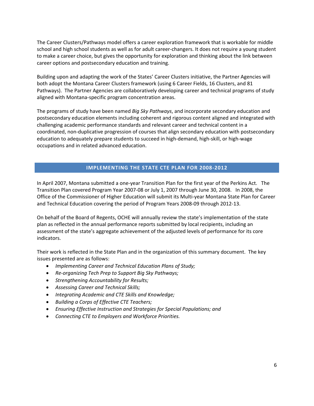The Career Clusters/Pathways model offers a career exploration framework that is workable for middle school and high school students as well as for adult career‐changers. It does not require a young student to make a career choice, but gives the opportunity for exploration and thinking about the link between career options and postsecondary education and training.

Building upon and adapting the work of the States' Career Clusters initiative, the Partner Agencies will both adopt the Montana Career Clusters framework (using 6 Career Fields, 16 Clusters, and 81 Pathways). The Partner Agencies are collaboratively developing career and technical programs of study aligned with Montana‐specific program concentration areas.

The programs of study have been named *Big Sky Pathways*, and incorporate secondary education and postsecondary education elements including coherent and rigorous content aligned and integrated with challenging academic performance standards and relevant career and technical content in a coordinated, non‐duplicative progression of courses that align secondary education with postsecondary education to adequately prepare students to succeed in high‐demand, high‐skill, or high‐wage occupations and in related advanced education.

## **IMPLEMENTING THE STATE CTE PLAN FOR 2008‐2012**

In April 2007, Montana submitted a one-year Transition Plan for the first year of the Perkins Act. The Transition Plan covered Program Year 2007‐08 or July 1, 2007 through June 30, 2008. In 2008, the Office of the Commissioner of Higher Education will submit its Multi‐year Montana State Plan for Career and Technical Education covering the period of Program Years 2008‐09 through 2012‐13.

On behalf of the Board of Regents, OCHE will annually review the state's implementation of the state plan as reflected in the annual performance reports submitted by local recipients, including an assessment of the state's aggregate achievement of the adjusted levels of performance for its core indicators.

Their work is reflected in the State Plan and in the organization of this summary document. The key issues presented are as follows:

- *Implementing Career and Technical Education Plans of Study;*
- *Re‐organizing Tech Prep to Support Big Sky Pathways;*
- *Strengthening Accountability for Results;*
- *Assessing Career and Technical Skills;*
- *Integrating Academic and CTE Skills and Knowledge;*
- *Building a Corps of Effective CTE Teachers;*
- *Ensuring Effective Instruction and Strategies for Special Populations; and*
- *Connecting CTE to Employers and Workforce Priorities.*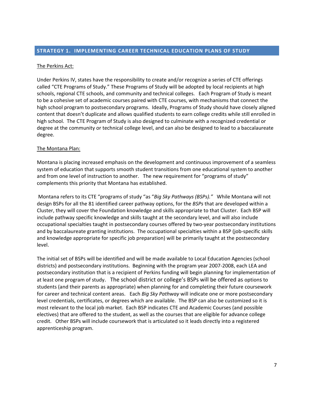#### The Perkins Act:

Under Perkins IV, states have the responsibility to create and/or recognize a series of CTE offerings called "CTE Programs of Study." These Programs of Study will be adopted by local recipients at high schools, regional CTE schools, and community and technical colleges. Each Program of Study is meant to be a cohesive set of academic courses paired with CTE courses, with mechanisms that connect the high school program to postsecondary programs. Ideally, Programs of Study should have closely aligned content that doesn't duplicate and allows qualified students to earn college credits while still enrolled in high school. The CTE Program of Study is also designed to culminate with a recognized credential or degree at the community or technical college level, and can also be designed to lead to a baccalaureate degree.

#### The Montana Plan:

Montana is placing increased emphasis on the development and continuous improvement of a seamless system of education that supports smooth student transitions from one educational system to another and from one level of instruction to another. The new requirement for "programs of study" complements this priority that Montana has established.

Montana refers to its CTE "programs of study "as "*Big Sky Pathways (BSPs)."* While Montana will not design BSPs for all the 81 identified career pathway options, for the *BSPs* that are developed within a Cluster, they will cover the Foundation knowledge and skills appropriate to that Cluster. Each BSP will include pathway specific knowledge and skills taught at the secondary level, and will also include occupational specialties taught in postsecondary courses offered by two-year postsecondary institutions and by baccalaureate granting institutions. The occupational specialties within a BSP (job-specific skills and knowledge appropriate for specific job preparation) will be primarily taught at the postsecondary level.

The initial set of BSPs will be identified and will be made available to Local Education Agencies (school districts) and postsecondary institutions. Beginning with the program year 2007‐2008, each LEA and postsecondary institution that is a recipient of Perkins funding will begin planning for implementation of at least one program of study. The school district or college's BSPs will be offered as options to students (and their parents as appropriate) when planning for and completing their future coursework for career and technical content areas. Each *Big Sky Pathway* will indicate one or more postsecondary level credentials, certificates, or degrees which are available. The BSP can also be customized so it is most relevant to the local job market. Each BSP indicates CTE and Academic Courses (and possible electives) that are offered to the student, as well as the courses that are eligible for advance college credit. Other BSPs will include coursework that is articulated so it leads directly into a registered apprenticeship program.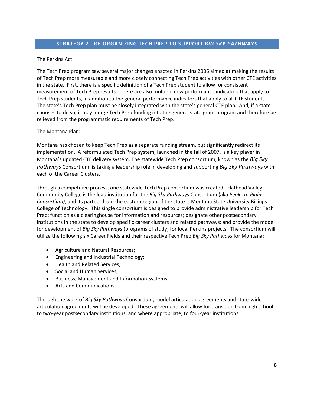# **STRATEGY 2. RE‐ORGANIZING TECH PREP TO SUPPORT** *BIG SKY PATHWAYS*

#### The Perkins Act:

The Tech Prep program saw several major changes enacted in Perkins 2006 aimed at making the results of Tech Prep more measurable and more closely connecting Tech Prep activities with other CTE activities in the state. First, there is a specific definition of a Tech Prep student to allow for consistent measurement of Tech Prep results. There are also multiple new performance indicators that apply to Tech Prep students, in addition to the general performance indicators that apply to all CTE students. The state's Tech Prep plan must be closely integrated with the state's general CTE plan. And, if a state chooses to do so, it may merge Tech Prep funding into the general state grant program and therefore be relieved from the programmatic requirements of Tech Prep.

#### The Montana Plan:

Montana has chosen to keep Tech Prep as a separate funding stream, but significantly redirect its implementation. A reformulated Tech Prep system, launched in the fall of 2007, is a key player in Montana's updated CTE delivery system. The statewide Tech Prep consortium, known as the *Big Sky Pathways* Consortium, is taking a leadership role in developing and supporting *Big Sky Pathways* with each of the Career Clusters.

Through a competitive process, one statewide Tech Prep consortium was created. Flathead Valley Community College is the lead institution for the *Big Sky Pathways* Consortium (aka *Peaks to Plains Consortium)*, and its partner from the eastern region of the state is Montana State University Billings College of Technology. This single consortium is designed to provide administrative leadership for Tech Prep; function as a clearinghouse for information and resources; designate other postsecondary institutions in the state to develop specific career clusters and related pathways; and provide the model for development of *Big Sky Pathways* (programs of study) for local Perkins projects. The consortium will utilize the following six Career Fields and their respective Tech Prep *Big Sky Pathways* for Montana:

- Agriculture and Natural Resources;
- Engineering and Industrial Technology;
- Health and Related Services;
- Social and Human Services;
- Business, Management and Information Systems;
- Arts and Communications.

Through the work of *Big Sky Pathways* Consortium, model articulation agreements and state‐wide articulation agreements will be developed. These agreements will allow for transition from high school to two-year postsecondary institutions, and where appropriate, to four-year institutions.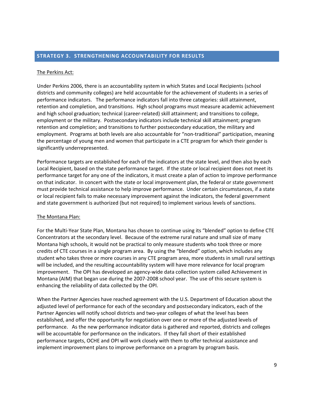#### **STRATEGY 3. STRENGTHENING ACCOUNTABILITY FOR RESULTS**

#### The Perkins Act:

Under Perkins 2006, there is an accountability system in which States and Local Recipients (school districts and community colleges) are held accountable for the achievement of students in a series of performance indicators. The performance indicators fall into three categories: skill attainment, retention and completion, and transitions. High school programs must measure academic achievement and high school graduation; technical (career‐related) skill attainment; and transitions to college, employment or the military. Postsecondary indicators include technical skill attainment; program retention and completion; and transitions to further postsecondary education, the military and employment. Programs at both levels are also accountable for "non-traditional" participation, meaning the percentage of young men and women that participate in a CTE program for which their gender is significantly underrepresented.

Performance targets are established for each of the indicators at the state level, and then also by each Local Recipient, based on the state performance target. If the state or local recipient does not meet its performance target for any one of the indicators, it must create a plan of action to improve performance on that indicator. In concert with the state or local improvement plan, the federal or state government must provide technical assistance to help improve performance. Under certain circumstances, if a state or local recipient fails to make necessary improvement against the indicators, the federal government and state government is authorized (but not required) to implement various levels of sanctions.

#### The Montana Plan:

For the Multi‐Year State Plan, Montana has chosen to continue using its "blended" option to define CTE Concentrators at the secondary level. Because of the extreme rural nature and small size of many Montana high schools, it would not be practical to only measure students who took three or more credits of CTE courses in a single program area. By using the "blended" option, which includes any student who takes three or more courses in any CTE program area, more students in small rural settings will be included, and the resulting accountability system will have more relevance for local program improvement. The OPI has developed an agency-wide data collection system called Achievement in Montana (AIM) that began use during the 2007‐2008 school year. The use of this secure system is enhancing the reliability of data collected by the OPI.

When the Partner Agencies have reached agreement with the U.S. Department of Education about the adjusted level of performance for each of the secondary and postsecondary indicators, each of the Partner Agencies will notify school districts and two-year colleges of what the level has been established, and offer the opportunity for negotiation over one or more of the adjusted levels of performance. As the new performance indicator data is gathered and reported, districts and colleges will be accountable for performance on the indicators. If they fall short of their established performance targets, OCHE and OPI will work closely with them to offer technical assistance and implement improvement plans to improve performance on a program by program basis.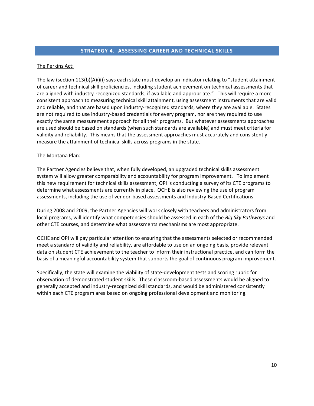## **STRATEGY 4. ASSESSING CAREER AND TECHNICAL SKILLS**

## The Perkins Act:

The law (section 113(b)(A)(ii)) says each state must develop an indicator relating to "student attainment of career and technical skill proficiencies, including student achievement on technical assessments that are aligned with industry-recognized standards, if available and appropriate." This will require a more consistent approach to measuring technical skill attainment, using assessment instruments that are valid and reliable, and that are based upon industry-recognized standards, where they are available. States are not required to use industry-based credentials for every program, nor are they required to use exactly the same measurement approach for all their programs. But whatever assessments approaches are used should be based on standards (when such standards are available) and must meet criteria for validity and reliability. This means that the assessment approaches must accurately and consistently measure the attainment of technical skills across programs in the state.

#### The Montana Plan:

The Partner Agencies believe that, when fully developed, an upgraded technical skills assessment system will allow greater comparability and accountability for program improvement. To implement this new requirement for technical skills assessment, OPI is conducting a survey of its CTE programs to determine what assessments are currently in place. OCHE is also reviewing the use of program assessments, including the use of vendor‐based assessments and Industry‐Based Certifications.

During 2008 and 2009, the Partner Agencies will work closely with teachers and administrators from local programs, will identify what competencies should be assessed in each of the *Big Sky Pathways* and other CTE courses, and determine what assessments mechanisms are most appropriate.

OCHE and OPI will pay particular attention to ensuring that the assessments selected or recommended meet a standard of validity and reliability, are affordable to use on an ongoing basis, provide relevant data on student CTE achievement to the teacher to inform their instructional practice, and can form the basis of a meaningful accountability system that supports the goal of continuous program improvement.

Specifically, the state will examine the viability of state‐development tests and scoring rubric for observation of demonstrated student skills. These classroom‐based assessments would be aligned to generally accepted and industry‐recognized skill standards, and would be administered consistently within each CTE program area based on ongoing professional development and monitoring.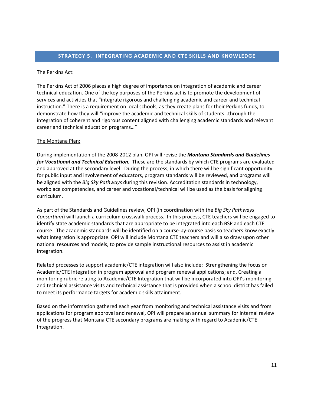#### **STRATEGY 5. INTEGRATING ACADEMIC AND CTE SKILLS AND KNOWLEDGE**

#### The Perkins Act:

The Perkins Act of 2006 places a high degree of importance on integration of academic and career technical education. One of the key purposes of the Perkins act is to promote the development of services and activities that "integrate rigorous and challenging academic and career and technical instruction." There is a requirement on local schools, as they create plans for their Perkins funds, to demonstrate how they will "improve the academic and technical skills of students…through the integration of coherent and rigorous content aligned with challenging academic standards and relevant career and technical education programs…"

#### The Montana Plan:

During implementation of the 2008‐2012 plan, OPI will revise the *Montana Standards and Guidelines for Vocational and Technical Education.* These are the standards by which CTE programs are evaluated and approved at the secondary level. During the process, in which there will be significant opportunity for public input and involvement of educators, program standards will be reviewed, and programs will be aligned with the *Big Sky Pathways* during this revision. Accreditation standards in technology, workplace competencies, and career and vocational/technical will be used as the basis for aligning curriculum.

As part of the Standards and Guidelines review, OPI (in coordination with the *Big Sky Pathways Consortium*) will launch a curriculum crosswalk process. In this process, CTE teachers will be engaged to identify state academic standards that are appropriate to be integrated into each BSP and each CTE course. The academic standards will be identified on a course‐by‐course basis so teachers know exactly what integration is appropriate. OPI will include Montana CTE teachers and will also draw upon other national resources and models, to provide sample instructional resources to assist in academic integration.

Related processes to support academic/CTE integration will also include: Strengthening the focus on Academic/CTE Integration in program approval and program renewal applications; and, Creating a monitoring rubric relating to Academic/CTE Integration that will be incorporated into OPI's monitoring and technical assistance visits and technical assistance that is provided when a school district has failed to meet its performance targets for academic skills attainment.

Based on the information gathered each year from monitoring and technical assistance visits and from applications for program approval and renewal, OPI will prepare an annual summary for internal review of the progress that Montana CTE secondary programs are making with regard to Academic/CTE Integration.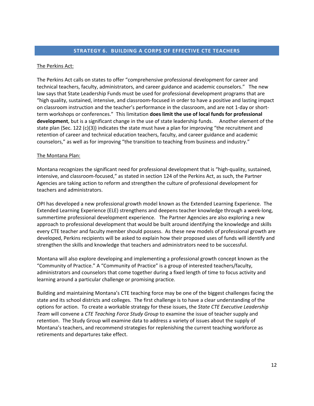## **STRATEGY 6. BUILDING A CORPS OF EFFECTIVE CTE TEACHERS**

#### The Perkins Act:

The Perkins Act calls on states to offer "comprehensive professional development for career and technical teachers, faculty, administrators, and career guidance and academic counselors." The new law says that State Leadership Funds must be used for professional development programs that are "high quality, sustained, intensive, and classroom‐focused in order to have a positive and lasting impact on classroom instruction and the teacher's performance in the classroom, and are not 1‐day or short‐ term workshops or conferences." This limitation **does limit the use of local funds for professional development**, but is a significant change in the use of state leadership funds. Another element of the state plan (Sec. 122 (c)(3)) indicates the state must have a plan for improving "the recruitment and retention of career and technical education teachers, faculty, and career guidance and academic counselors," as well as for improving "the transition to teaching from business and industry."

#### The Montana Plan:

Montana recognizes the significant need for professional development that is "high‐quality, sustained, intensive, and classroom‐focused," as stated in section 124 of the Perkins Act, as such, the Partner Agencies are taking action to reform and strengthen the culture of professional development for teachers and administrators.

OPI has developed a new professional growth model known as the Extended Learning Experience. The Extended Learning Experience (ELE) strengthens and deepens teacher knowledge through a week‐long, summertime professional development experience. The Partner Agencies are also exploring a new approach to professional development that would be built around identifying the knowledge and skills every CTE teacher and faculty member should possess. As these new models of professional growth are developed, Perkins recipients will be asked to explain how their proposed uses of funds will identify and strengthen the skills and knowledge that teachers and administrators need to be successful.

Montana will also explore developing and implementing a professional growth concept known as the "Community of Practice." A "Community of Practice" is a group of interested teachers/faculty, administrators and counselors that come together during a fixed length of time to focus activity and learning around a particular challenge or promising practice.

Building and maintaining Montana's CTE teaching force may be one of the biggest challenges facing the state and its school districts and colleges. The first challenge is to have a clear understanding of the options for action. To create a workable strategy for these issues, the *State CTE Executive Leadership Team* will convene a *CTE Teaching Force Study Group* to examine the issue of teacher supply and retention. The Study Group will examine data to address a variety of issues about the supply of Montana's teachers, and recommend strategies for replenishing the current teaching workforce as retirements and departures take effect.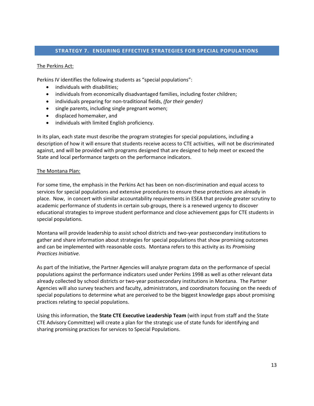## **STRATEGY 7. ENSURING EFFECTIVE STRATEGIES FOR SPECIAL POPULATIONS**

### The Perkins Act:

Perkins IV identifies the following students as "special populations":

- individuals with disabilities;
- individuals from economically disadvantaged families, including foster children;
- individuals preparing for non‐traditional fields, *(for their gender)*
- single parents, including single pregnant women;
- displaced homemaker, and
- individuals with limited English proficiency.

In its plan, each state must describe the program strategies for special populations, including a description of how it will ensure that students receive access to CTE activities, will not be discriminated against, and will be provided with programs designed that are designed to help meet or exceed the State and local performance targets on the performance indicators.

#### The Montana Plan:

For some time, the emphasis in the Perkins Act has been on non‐discrimination and equal access to services for special populations and extensive procedures to ensure these protections are already in place. Now, in concert with similar accountability requirements in ESEA that provide greater scrutiny to academic performance of students in certain sub‐groups, there is a renewed urgency to discover educational strategies to improve student performance and close achievement gaps for CTE students in special populations.

Montana will provide leadership to assist school districts and two‐year postsecondary institutions to gather and share information about strategies for special populations that show promising outcomes and can be implemented with reasonable costs. Montana refers to this activity as its *Promising Practices Initiative.* 

As part of the Initiative, the Partner Agencies will analyze program data on the performance of special populations against the performance indicators used under Perkins 1998 as well as other relevant data already collected by school districts or two‐year postsecondary institutions in Montana. The Partner Agencies will also survey teachers and faculty, administrators, and coordinators focusing on the needs of special populations to determine what are perceived to be the biggest knowledge gaps about promising practices relating to special populations.

Using this information, the **State CTE Executive Leadership Team** (with input from staff and the State CTE Advisory Committee) will create a plan for the strategic use of state funds for identifying and sharing promising practices for services to Special Populations.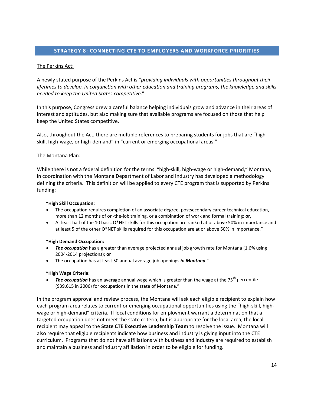# **STRATEGY 8: CONNECTING CTE TO EMPLOYERS AND WORKFORCE PRIORITIES**

### The Perkins Act:

A newly stated purpose of the Perkins Act is "*providing individuals with opportunities throughout their lifetimes to develop, in conjunction with other education and training programs, the knowledge and skills needed to keep the United States competitive*."

In this purpose, Congress drew a careful balance helping individuals grow and advance in their areas of interest and aptitudes, but also making sure that available programs are focused on those that help keep the United States competitive.

Also, throughout the Act, there are multiple references to preparing students for jobs that are "high skill, high-wage, or high-demand" in "current or emerging occupational areas."

#### The Montana Plan:

While there is not a federal definition for the terms "high‐skill, high‐wage or high‐demand," Montana, in coordination with the Montana Department of Labor and Industry has developed a methodology defining the criteria. This definition will be applied to every CTE program that is supported by Perkins funding:

#### **"High Skill Occupation:**

- The occupation requires completion of an associate degree, postsecondary career technical education, more than 12 months of on‐the‐job training, or a combination of work and formal training; **or,**
- At least half of the 10 basic O\*NET skills for this occupation are ranked at or above 50% in importance and at least 5 of the other O\*NET skills required for this occupation are at or above 50% in importance."

#### **"High Demand Occupation:**

- *The occupation* has a greater than average projected annual job growth rate for Montana (1.6% using 2004‐2014 projections); **or**
- The occupation has at least 50 annual average job openings *in Montana*."

#### **"High Wage Criteria:**

• The *occupation* has an average annual wage which is greater than the wage at the 75<sup>th</sup> percentile (\$39,615 in 2006) for occupations in the state of Montana."

In the program approval and review process, the Montana will ask each eligible recipient to explain how each program area relates to current or emerging occupational opportunities using the "high-skill, highwage or high-demand" criteria. If local conditions for employment warrant a determination that a targeted occupation does not meet the state criteria, but is appropriate for the local area, the local recipient may appeal to the **State CTE Executive Leadership Team** to resolve the issue. Montana will also require that eligible recipients indicate how business and industry is giving input into the CTE curriculum. Programs that do not have affiliations with business and industry are required to establish and maintain a business and industry affiliation in order to be eligible for funding.